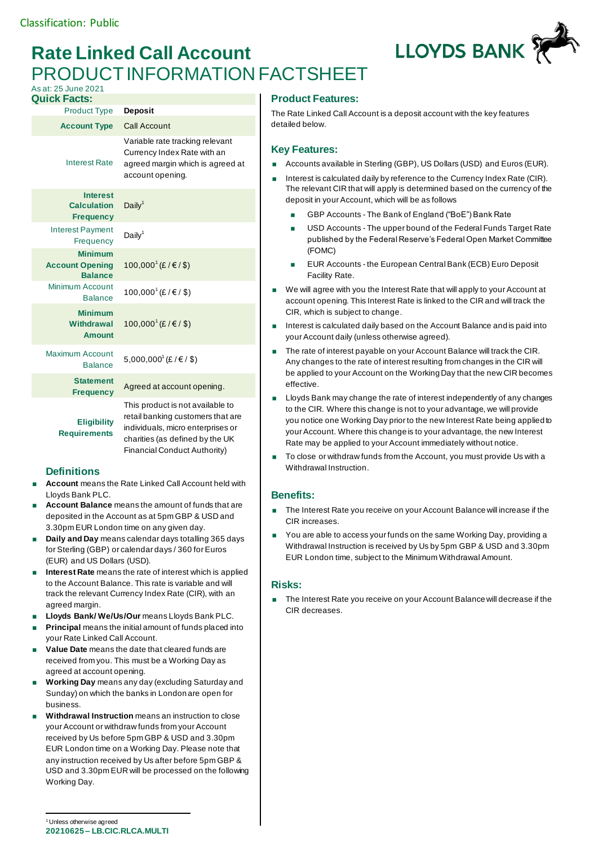# **Rate Linked Call Account** PRODUCT INFORMATION FACTSHEET As at: 25 June 2021



## **Product Features:**

The Rate Linked Call Account is a deposit account with the key features detailed below.

### **Key Features:**

- Accounts available in Sterling (GBP), US Dollars (USD) and Euros (EUR).
- Interest is calculated daily by reference to the Currency Index Rate (CIR). The relevant CIR that will apply is determined based on the currency of the deposit in your Account, which will be as follows
	- GBP Accounts The Bank of England ("BoE") Bank Rate
	- USD Accounts The upper bound of the Federal Funds Target Rate published by the Federal Reserve's Federal Open Market Committee (FOMC)
	- EUR Accounts the European Central Bank (ECB) Euro Deposit Facility Rate.
- We will agree with you the Interest Rate that will apply to your Account at account opening. This Interest Rate is linked to the CIR and will track the CIR, which is subject to change.
- Interest is calculated daily based on the Account Balance and is paid into your Account daily (unless otherwise agreed).
- The rate of interest payable on your Account Balance will track the CIR. Any changes to the rate of interest resulting from changes in the CIR will be applied to your Account on the Working Day that the new CIR becomes effective.
- **Lloyds Bank may change the rate of interest independently of any changes** to the CIR. Where this change is not to your advantage, we will provide you notice one Working Day prior to the new Interest Rate being applied to your Account. Where this change is to your advantage, the new Interest Rate may be applied to your Account immediately without notice.
- To close or withdraw funds from the Account, you must provide Us with a Withdrawal Instruction.

### **Benefits:**

- The Interest Rate you receive on your Account Balance will increase if the CIR increases.
- You are able to access your funds on the same Working Day, providing a Withdrawal Instruction is received by Us by 5pm GBP & USD and 3.30pm EUR London time, subject to the Minimum Withdrawal Amount.

#### **Risks:**

■ The Interest Rate you receive on your Account Balance will decrease if the CIR decreases.

| <b>Quick Facts:</b>                                        |                                                                                                                                                                               |
|------------------------------------------------------------|-------------------------------------------------------------------------------------------------------------------------------------------------------------------------------|
| <b>Product Type</b>                                        | <b>Deposit</b>                                                                                                                                                                |
| <b>Account Type</b>                                        | <b>Call Account</b>                                                                                                                                                           |
| <b>Interest Rate</b>                                       | Variable rate tracking relevant<br>Currency Index Rate with an<br>agreed margin which is agreed at<br>account opening.                                                        |
| <b>Interest</b><br><b>Calculation</b><br><b>Frequency</b>  | Daily <sup>1</sup>                                                                                                                                                            |
| <b>Interest Payment</b><br>Frequency                       | Daily <sup>1</sup>                                                                                                                                                            |
| <b>Minimum</b><br><b>Account Opening</b><br><b>Balance</b> | 100,000 <sup>1</sup> (£/€/\$)                                                                                                                                                 |
| Minimum Account<br><b>Balance</b>                          | 100,000 <sup>1</sup> (£/€/\$)                                                                                                                                                 |
| <b>Minimum</b><br>Withdrawal<br><b>Amount</b>              | 100,000 <sup>1</sup> (£/€/\$)                                                                                                                                                 |
| Maximum Account<br><b>Balance</b>                          | 5,000,000 <sup>1</sup> (£/€/\$)                                                                                                                                               |
| <b>Statement</b><br><b>Frequency</b>                       | Agreed at account opening.                                                                                                                                                    |
| <b>Eligibility</b><br><b>Requirements</b>                  | This product is not available to<br>retail banking customers that are<br>individuals, micro enterprises or<br>charities (as defined by the UK<br>Financial Conduct Authority) |

### **Definitions**

- **Account** means the Rate Linked Call Account held with Lloyds Bank PLC.
- **Account Balance** means the amount of funds that are deposited in the Account as at 5pm GBP & USD and 3.30pm EUR London time on any given day.
- **Daily and Day** means calendar days totalling 365 days for Sterling (GBP) or calendar days / 360 for Euros (EUR) and US Dollars (USD).
- **Interest Rate** means the rate of interest which is applied to the Account Balance. This rate is variable and will track the relevant Currency Index Rate (CIR), with an agreed margin.
- **Lloyds Bank/ We/Us/Our** means Lloyds Bank PLC.
- **Principal** means the initial amount of funds placed into your Rate Linked Call Account.
- **Value Date** means the date that cleared funds are received from you. This must be a Working Day as agreed at account opening.
- **Working Day** means any day (excluding Saturday and Sunday) on which the banks in London are open for business.
- **Withdrawal Instruction** means an instruction to close your Account or withdraw funds from your Account received by Us before 5pm GBP & USD and 3.30pm EUR London time on a Working Day. Please note that any instruction received by Us after before 5pm GBP & USD and 3.30pm EUR will be processed on the following Working Day.

**20210625 – LB.CIC.RLCA.MULTI** <sup>1</sup> Unless otherwise agreed